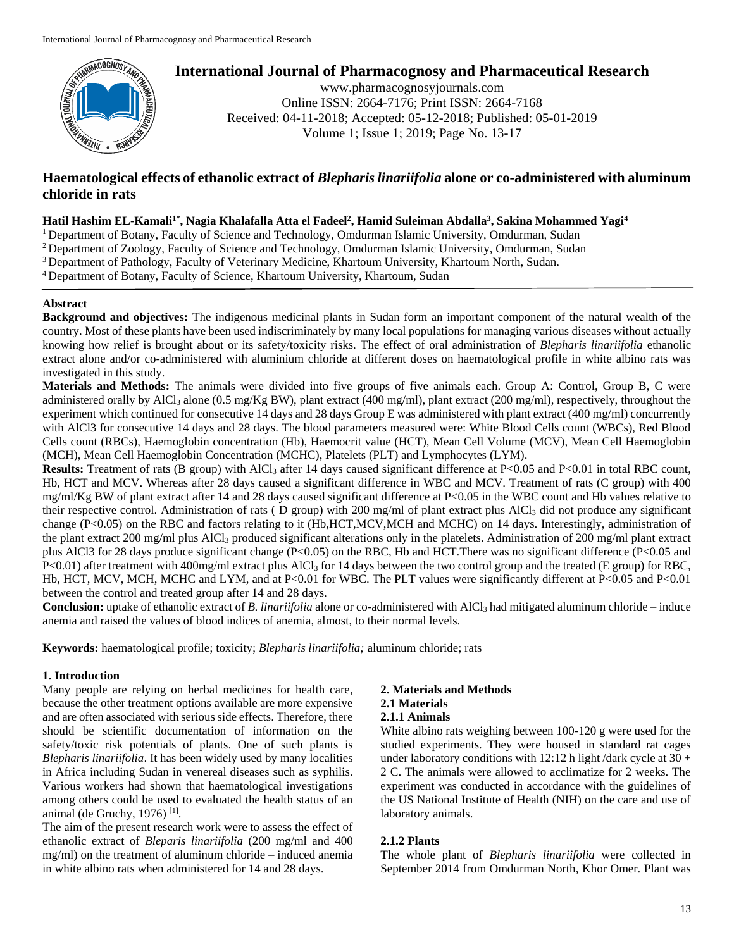

## **International Journal of Pharmacognosy and Pharmaceutical Research**

www.pharmacognosyjournals.com Online ISSN: 2664-7176; Print ISSN: 2664-7168 Received: 04-11-2018; Accepted: 05-12-2018; Published: 05-01-2019 Volume 1; Issue 1; 2019; Page No. 13-17

## **Haematological effects of ethanolic extract of** *Blepharis linariifolia* **alone or co-administered with aluminum chloride in rats**

#### **Hatil Hashim EL-Kamali1\*, Nagia Khalafalla Atta el Fadeel<sup>2</sup> , Hamid Suleiman Abdalla<sup>3</sup> , Sakina Mohammed Yagi<sup>4</sup>**

<sup>1</sup> Department of Botany, Faculty of Science and Technology, Omdurman Islamic University, Omdurman, Sudan

- <sup>2</sup> Department of Zoology, Faculty of Science and Technology, Omdurman Islamic University, Omdurman, Sudan
- <sup>3</sup> Department of Pathology, Faculty of Veterinary Medicine, Khartoum University, Khartoum North, Sudan.
- <sup>4</sup> Department of Botany, Faculty of Science, Khartoum University, Khartoum, Sudan

#### **Abstract**

**Background and objectives:** The indigenous medicinal plants in Sudan form an important component of the natural wealth of the country. Most of these plants have been used indiscriminately by many local populations for managing various diseases without actually knowing how relief is brought about or its safety/toxicity risks. The effect of oral administration of *Blepharis linariifolia* ethanolic extract alone and/or co-administered with aluminium chloride at different doses on haematological profile in white albino rats was investigated in this study.

**Materials and Methods:** The animals were divided into five groups of five animals each. Group A: Control, Group B, C were administered orally by AlCl<sub>3</sub> alone (0.5 mg/Kg BW), plant extract (400 mg/ml), plant extract (200 mg/ml), respectively, throughout the experiment which continued for consecutive 14 days and 28 days Group E was administered with plant extract (400 mg/ml) concurrently with AlCl3 for consecutive 14 days and 28 days. The blood parameters measured were: White Blood Cells count (WBCs), Red Blood Cells count (RBCs), Haemoglobin concentration (Hb), Haemocrit value (HCT), Mean Cell Volume (MCV), Mean Cell Haemoglobin (MCH), Mean Cell Haemoglobin Concentration (MCHC), Platelets (PLT) and Lymphocytes (LYM).

**Results:** Treatment of rats (B group) with AlCl<sub>3</sub> after 14 days caused significant difference at P<0.05 and P<0.01 in total RBC count, Hb, HCT and MCV. Whereas after 28 days caused a significant difference in WBC and MCV. Treatment of rats (C group) with 400  $mg/ml/Kg BW$  of plant extract after 14 and 28 days caused significant difference at P<0.05 in the WBC count and Hb values relative to their respective control. Administration of rats ( D group) with 200 mg/ml of plant extract plus AlCl<sup>3</sup> did not produce any significant change (P<0.05) on the RBC and factors relating to it (Hb,HCT,MCV,MCH and MCHC) on 14 days. Interestingly, administration of the plant extract 200 mg/ml plus AlCl<sub>3</sub> produced significant alterations only in the platelets. Administration of 200 mg/ml plant extract plus AlCl3 for 28 days produce significant change (P<0.05) on the RBC, Hb and HCT.There was no significant difference (P<0.05 and P<0.01) after treatment with 400mg/ml extract plus AlCl<sub>3</sub> for 14 days between the two control group and the treated (E group) for RBC, Hb, HCT, MCV, MCH, MCHC and LYM, and at P<0.01 for WBC. The PLT values were significantly different at P<0.05 and P<0.01 between the control and treated group after 14 and 28 days.

**Conclusion:** uptake of ethanolic extract of *B. linariifolia* alone or co-administered with AlCl<sub>3</sub> had mitigated aluminum chloride – induce anemia and raised the values of blood indices of anemia, almost, to their normal levels.

**Keywords:** haematological profile; toxicity; *Blepharis linariifolia;* aluminum chloride; rats

#### **1. Introduction**

Many people are relying on herbal medicines for health care, because the other treatment options available are more expensive and are often associated with serious side effects. Therefore, there should be scientific documentation of information on the safety/toxic risk potentials of plants. One of such plants is *Blepharis linariifolia*. It has been widely used by many localities in Africa including Sudan in venereal diseases such as syphilis. Various workers had shown that haematological investigations among others could be used to evaluated the health status of an animal (de Gruchy, 1976)<sup>[1]</sup>.

The aim of the present research work were to assess the effect of ethanolic extract of *Bleparis linariifolia* (200 mg/ml and 400 mg/ml) on the treatment of aluminum chloride – induced anemia in white albino rats when administered for 14 and 28 days.

# **2. Materials and Methods**

## **2.1 Materials**

## **2.1.1 Animals**

White albino rats weighing between 100-120 g were used for the studied experiments. They were housed in standard rat cages under laboratory conditions with 12:12 h light /dark cycle at  $30 +$ 2 C. The animals were allowed to acclimatize for 2 weeks. The experiment was conducted in accordance with the guidelines of the US National Institute of Health (NIH) on the care and use of laboratory animals.

#### **2.1.2 Plants**

The whole plant of *Blepharis linariifolia* were collected in September 2014 from Omdurman North, Khor Omer. Plant was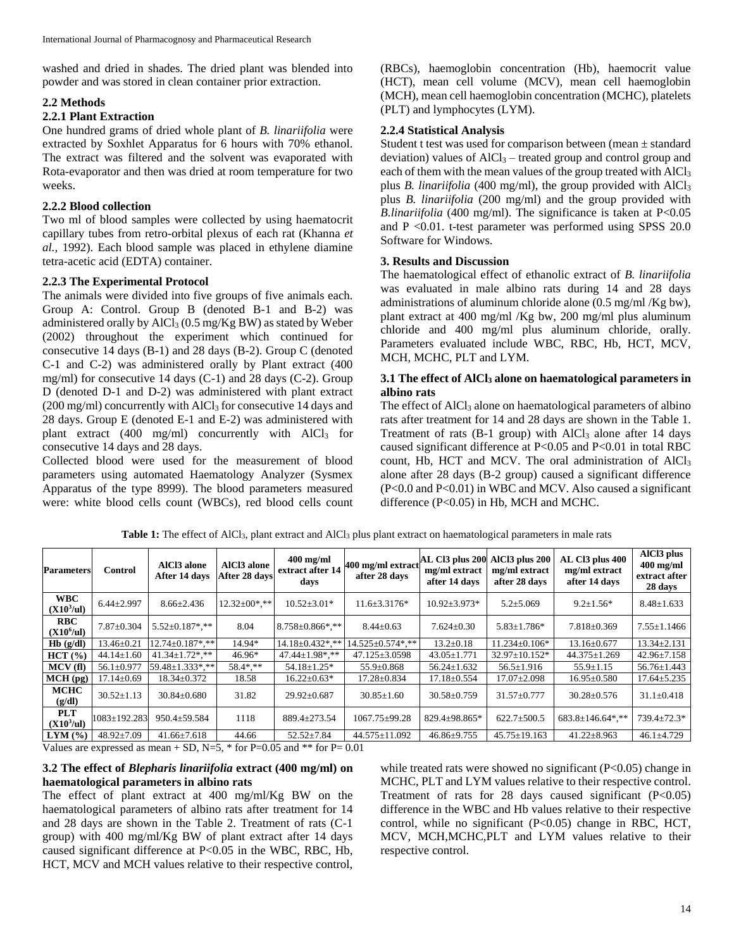washed and dried in shades. The dried plant was blended into powder and was stored in clean container prior extraction.

#### **2.2 Methods**

#### **2.2.1 Plant Extraction**

One hundred grams of dried whole plant of *B. linariifolia* were extracted by Soxhlet Apparatus for 6 hours with 70% ethanol. The extract was filtered and the solvent was evaporated with Rota-evaporator and then was dried at room temperature for two weeks.

### **2.2.2 Blood collection**

Two ml of blood samples were collected by using haematocrit capillary tubes from retro-orbital plexus of each rat (Khanna *et al.,* 1992). Each blood sample was placed in ethylene diamine tetra-acetic acid (EDTA) container.

### **2.2.3 The Experimental Protocol**

The animals were divided into five groups of five animals each. Group A: Control. Group B (denoted B-1 and B-2) was administered orally by AlCl<sup>3</sup> (0.5 mg/Kg BW) as stated by Weber (2002) throughout the experiment which continued for consecutive 14 days (B-1) and 28 days (B-2). Group C (denoted C-1 and C-2) was administered orally by Plant extract (400 mg/ml) for consecutive 14 days (C-1) and 28 days (C-2). Group D (denoted D-1 and D-2) was administered with plant extract  $(200 \text{ mg/ml})$  concurrently with  $AICl<sub>3</sub>$  for consecutive 14 days and 28 days. Group E (denoted E-1 and E-2) was administered with plant extract (400 mg/ml) concurrently with  $AlCl<sub>3</sub>$  for consecutive 14 days and 28 days.

Collected blood were used for the measurement of blood parameters using automated Haematology Analyzer (Sysmex Apparatus of the type 8999). The blood parameters measured were: white blood cells count (WBCs), red blood cells count (RBCs), haemoglobin concentration (Hb), haemocrit value (HCT), mean cell volume (MCV), mean cell haemoglobin (MCH), mean cell haemoglobin concentration (MCHC), platelets (PLT) and lymphocytes (LYM).

#### **2.2.4 Statistical Analysis**

Student t test was used for comparison between (mean ± standard deviation) values of  $AICI_3$  – treated group and control group and each of them with the mean values of the group treated with AlCl<sub>3</sub> plus *B. linariifolia* (400 mg/ml), the group provided with AlCl<sub>3</sub> plus *B. linariifolia* (200 mg/ml) and the group provided with *B.linariifolia* (400 mg/ml). The significance is taken at P<0.05 and P <0.01. t-test parameter was performed using SPSS 20.0 Software for Windows.

#### **3. Results and Discussion**

The haematological effect of ethanolic extract of *B. linariifolia* was evaluated in male albino rats during 14 and 28 days administrations of aluminum chloride alone (0.5 mg/ml /Kg bw), plant extract at 400 mg/ml /Kg bw, 200 mg/ml plus aluminum chloride and 400 mg/ml plus aluminum chloride, orally. Parameters evaluated include WBC, RBC, Hb, HCT, MCV, MCH, MCHC, PLT and LYM.

### **3.1 The effect of AlCl<sup>3</sup> alone on haematological parameters in albino rats**

The effect of AlCl<sub>3</sub> alone on haematological parameters of albino rats after treatment for 14 and 28 days are shown in the Table 1. Treatment of rats  $(B-1)$  group) with  $AICI<sub>3</sub>$  alone after 14 days caused significant difference at P<0.05 and P<0.01 in total RBC count, Hb, HCT and MCV. The oral administration of AlCl<sup>3</sup> alone after 28 days (B-2 group) caused a significant difference (P<0.0 and P<0.01) in WBC and MCV. Also caused a significant difference (P<0.05) in Hb, MCH and MCHC.

| <b>Parameters</b>                    | <b>Control</b>     | AlCl3 alone<br>After 14 days | AlCl3 alone<br>After 28 days | $400$ mg/ml<br>extract after 14<br>days | 400 mg/ml extract<br>after 28 days | AL Cl3 plus 200 AlCl3 plus 200<br>mg/ml extract<br>after 14 days | mg/ml extract<br>after 28 days | AL Cl3 plus 400<br>mg/ml extract<br>after 14 days | AlC <sub>13</sub> plus<br>$400$ mg/ml<br>extract after<br>28 days |
|--------------------------------------|--------------------|------------------------------|------------------------------|-----------------------------------------|------------------------------------|------------------------------------------------------------------|--------------------------------|---------------------------------------------------|-------------------------------------------------------------------|
| <b>WBC</b><br>(X10 <sup>3</sup> /ul) | $6.44 \pm 2.997$   | $8.66 \pm 2.436$             | $12.32 \pm 00$ *.**          | $10.52 \pm 3.01*$                       | $11.6 \pm 3.3176*$                 | $10.92 \pm 3.973*$                                               | $5.2 \pm 5.069$                | $9.2 \pm 1.56*$                                   | $8.48 \pm 1.633$                                                  |
| <b>RBC</b><br>(X10 <sup>6</sup> /ul) | $7.87 \pm 0.304$   | $5.52 \pm 0.187$ *.**        | 8.04                         | $8.758 \pm 0.866$ *,**                  | $8.44 \pm 0.63$                    | $7.624 \pm 0.30$                                                 | $5.83 \pm 1.786*$              | $7.818 \pm 0.369$                                 | $7.55 \pm 1.1466$                                                 |
| Hb(g/dl)                             | $13.46 \pm 0.21$   | $12.74 \pm 0.187$ *.**       | 14.94*                       | $14.18 \pm 0.432$ *.**                  | $14.525 \pm 0.574$ *.**            | $13.2 \pm 0.18$                                                  | $11.234 \pm 0.106*$            | $13.16 \pm 0.677$                                 | $13.34 \pm 2.131$                                                 |
| HCT(%)                               | $44.14 \pm 1.60$   | $41.34 \pm 1.72$ *.**        | 46.96*                       | 47.44±1.98*.**                          | $47.125 \pm 3.0598$                | $43.05 \pm 1.771$                                                | 32.97±10.152*                  | $44.375 \pm 1.269$                                | $42.96 \pm 7.158$                                                 |
| MCV(f)                               | $56.1 \pm 0.977$   | 59.48±1.333*.**              | 58.4*.**                     | $54.18 \pm 1.25$ *                      | 55.9±0.868                         | $56.24 \pm 1.632$                                                | $56.5 \pm 1.916$               | $55.9 \pm 1.15$                                   | $56.76 \pm 1.443$                                                 |
| $MCH$ (pg)                           | $17.14 \pm 0.69$   | $18.34 \pm 0.372$            | 18.58                        | $16.22 \pm 0.63*$                       | $17.28 \pm 0.834$                  | $17.18 \pm 0.554$                                                | $17.07 \pm 2.098$              | $16.95 \pm 0.580$                                 | $17.64 \pm 5.235$                                                 |
| <b>MCHC</b><br>(g/dl)                | $30.52 \pm 1.13$   | $30.84 \pm 0.680$            | 31.82                        | $29.92 \pm 0.687$                       | $30.85 \pm 1.60$                   | $30.58 \pm 0.759$                                                | $31.57 \pm 0.777$              | $30.28 \pm 0.576$                                 | $31.1 \pm 0.418$                                                  |
| <b>PLT</b><br>(X10 <sup>3</sup> /ul) | $1083 \pm 192.283$ | $950.4 \pm 59.584$           | 1118                         | 889.4±273.54                            | 1067.75±99.28                      | 829.4±98.865*                                                    | $622.7 \pm 500.5$              | $683.8 \pm 146.64$ *,**                           | $739.4 \pm 72.3*$                                                 |
| $LYM$ (%)                            | $48.92 \pm 7.09$   | $41.66 \pm 7.618$            | 44.66                        | $52.52 \pm 7.84$                        | $44.575 \pm 11.092$                | $46.86 \pm 9.755$                                                | $45.75 \pm 19.163$             | $41.22 \pm 8.963$                                 | $46.1 \pm 4.729$                                                  |

Table 1: The effect of AlCl<sub>3</sub>, plant extract and AlCl<sub>3</sub> plus plant extract on haematological parameters in male rats

Values are expressed as mean + SD, N=5,  $*$  for P=0.05 and  $**$  for P=0.01

#### **3.2 The effect of** *Blepharis linariifolia* **extract (400 mg/ml) on haematological parameters in albino rats**

The effect of plant extract at 400 mg/ml/Kg BW on the haematological parameters of albino rats after treatment for 14 and 28 days are shown in the Table 2. Treatment of rats (C-1 group) with 400 mg/ml/Kg BW of plant extract after 14 days caused significant difference at P<0.05 in the WBC, RBC, Hb, HCT, MCV and MCH values relative to their respective control,

while treated rats were showed no significant  $(P<0.05)$  change in MCHC, PLT and LYM values relative to their respective control. Treatment of rats for 28 days caused significant  $(P<0.05)$ difference in the WBC and Hb values relative to their respective control, while no significant (P<0.05) change in RBC, HCT, MCV, MCH,MCHC,PLT and LYM values relative to their respective control.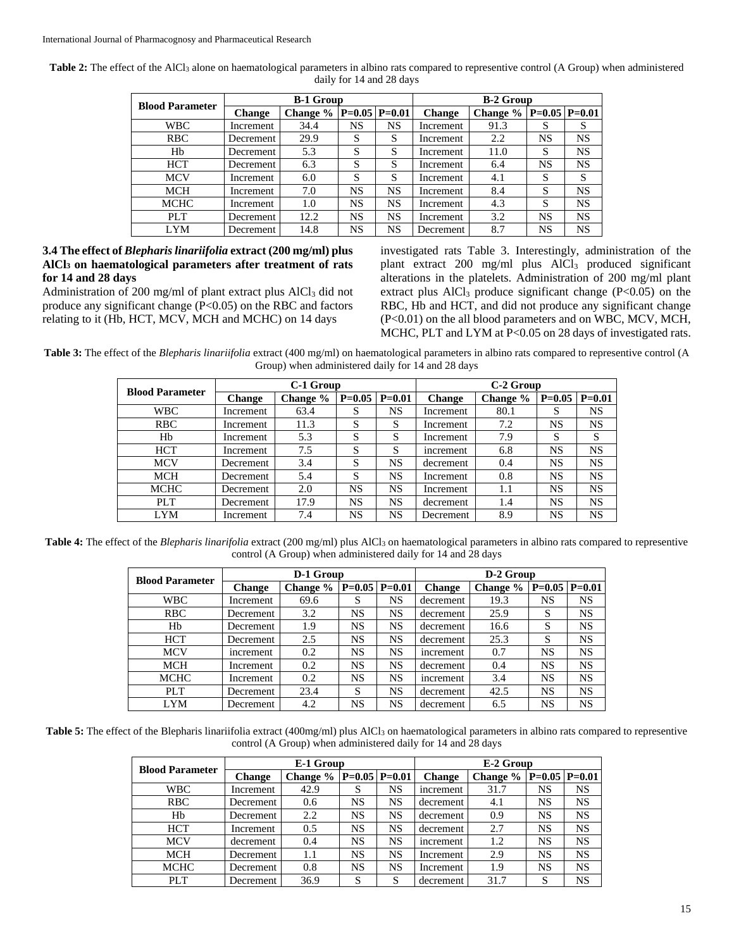| Table 2: The effect of the AlCl <sub>3</sub> alone on haematological parameters in albino rats compared to representive control (A Group) when administered |
|-------------------------------------------------------------------------------------------------------------------------------------------------------------|
| daily for 14 and 28 days                                                                                                                                    |

| <b>Blood Parameter</b> |               | <b>B-1 Group</b> |          | <b>B-2 Group</b> |               |            |    |                     |
|------------------------|---------------|------------------|----------|------------------|---------------|------------|----|---------------------|
|                        | <b>Change</b> | Change $\%$      | $P=0.05$ | $P = 0.01$       | <b>Change</b> | Change $%$ |    | $P=0.05$   $P=0.01$ |
| <b>WBC</b>             | Increment     | 34.4             | NS       | NS               | Increment     | 91.3       | S  | S                   |
| <b>RBC</b>             | Decrement     | 29.9             | S        | S                | Increment     | 2.2        | NS | <b>NS</b>           |
| Hb                     | Decrement     | 5.3              | S        | S                | Increment     | 11.0       | S  | <b>NS</b>           |
| <b>HCT</b>             | Decrement     | 6.3              | S        | S                | Increment     | 6.4        | NS | <b>NS</b>           |
| <b>MCV</b>             | Increment     | 6.0              | S        | S                | Increment     | 4.1        | S  | S                   |
| MCH                    | Increment     | 7.0              | NS       | NS               | Increment     | 8.4        | S  | <b>NS</b>           |
| <b>MCHC</b>            | Increment     | 1.0              | NS       | NS               | Increment     | 4.3        | S  | <b>NS</b>           |
| PLT                    | Decrement     | 12.2             | NS       | NS               | Increment     | 3.2        | NS | <b>NS</b>           |
| <b>LYM</b>             | Decrement     | 14.8             | NS       | NS               | Decrement     | 8.7        | NS | NS                  |

## **3.4 The effect of** *Blepharis linariifolia* **extract (200 mg/ml) plus AlCl<sup>3</sup> on haematological parameters after treatment of rats for 14 and 28 days**

Administration of 200 mg/ml of plant extract plus AlCl<sub>3</sub> did not produce any significant change  $(P<0.05)$  on the RBC and factors relating to it (Hb, HCT, MCV, MCH and MCHC) on 14 days

investigated rats Table 3. Interestingly, administration of the plant extract 200 mg/ml plus AlCl<sup>3</sup> produced significant alterations in the platelets. Administration of 200 mg/ml plant extract plus  $AICI<sub>3</sub>$  produce significant change (P<0.05) on the RBC, Hb and HCT, and did not produce any significant change (P<0.01) on the all blood parameters and on WBC, MCV, MCH, MCHC, PLT and LYM at P<0.05 on 28 days of investigated rats.

**Table 3:** The effect of the *Blepharis linariifolia* extract (400 mg/ml) on haematological parameters in albino rats compared to representive control (A Group) when administered daily for 14 and 28 days

| <b>Blood Parameter</b> |               | C-1 Group |                     |           | C-2 Group     |          |          |           |  |
|------------------------|---------------|-----------|---------------------|-----------|---------------|----------|----------|-----------|--|
|                        | <b>Change</b> | Change %  | $P=0.05$   $P=0.01$ |           | <b>Change</b> | Change % | $P=0.05$ | $P=0.01$  |  |
| <b>WBC</b>             | Increment     | 63.4      | S                   | NS        | Increment     | 80.1     | S        | NS        |  |
| <b>RBC</b>             | Increment     | 11.3      | S                   | S         | Increment     | 7.2      | NS       | NS.       |  |
| Hb                     | Increment     | 5.3       | S                   | S         | Increment     | 7.9      | S        | S         |  |
| <b>HCT</b>             | Increment     | 7.5       | S                   | S         | increment     | 6.8      | NS       | NS        |  |
| <b>MCV</b>             | Decrement     | 3.4       | S                   | NS        | decrement     | 0.4      | NS       | NS.       |  |
| <b>MCH</b>             | Decrement     | 5.4       | S                   | <b>NS</b> | Increment     | 0.8      | NS       | <b>NS</b> |  |
| <b>MCHC</b>            | Decrement     | 2.0       | <b>NS</b>           | NS        | Increment     | 1.1      | NS       | NS.       |  |
| PLT                    | Decrement     | 17.9      | NS                  | NS        | decrement     | 1.4      | NS       | NS        |  |
| LYM                    | Increment     | 7.4       | <b>NS</b>           | NS        | Decrement     | 8.9      | NS       | NS.       |  |

Table 4: The effect of the *Blepharis linarifolia* extract (200 mg/ml) plus AlCl<sub>3</sub> on haematological parameters in albino rats compared to representive control (A Group) when administered daily for 14 and 28 days

| <b>Blood Parameter</b> |               | D-1 Group |           |                     | D-2 Group |          |    |                     |  |
|------------------------|---------------|-----------|-----------|---------------------|-----------|----------|----|---------------------|--|
|                        | <b>Change</b> | Change %  |           | $P=0.05$   $P=0.01$ | Change    | Change % |    | $P=0.05$   $P=0.01$ |  |
| <b>WBC</b>             | Increment     | 69.6      | S         | NS                  | decrement | 19.3     | NS | NS                  |  |
| <b>RBC</b>             | Decrement     | 3.2       | NS        | NS                  | decrement | 25.9     | S  | NS                  |  |
| H <sub>b</sub>         | Decrement     | 1.9       | <b>NS</b> | <b>NS</b>           | decrement | 16.6     | S  | NS                  |  |
| <b>HCT</b>             | Decrement     | 2.5       | NS        | NS                  | decrement | 25.3     | S  | NS                  |  |
| <b>MCV</b>             | increment     | 0.2       | NS        | <b>NS</b>           | increment | 0.7      | NS | NS                  |  |
| <b>MCH</b>             | Increment     | 0.2       | NS        | NS                  | decrement | 0.4      | NS | NS                  |  |
| MCHC                   | Increment     | 0.2       | <b>NS</b> | NS                  | increment | 3.4      | NS | NS                  |  |
| PLT.                   | Decrement     | 23.4      | S         | <b>NS</b>           | decrement | 42.5     | NS | NS                  |  |
| <b>LYM</b>             | Decrement     | 4.2       | NS        | NS                  | decrement | 6.5      | NS | NS                  |  |

**Table 5:** The effect of the Blepharis linariifolia extract (400mg/ml) plus AlCl<sub>3</sub> on haematological parameters in albino rats compared to representive control (A Group) when administered daily for 14 and 28 days

|                        |               | E-1 Group   |    |                 | E-2 Group     |          |                 |           |  |
|------------------------|---------------|-------------|----|-----------------|---------------|----------|-----------------|-----------|--|
| <b>Blood Parameter</b> | <b>Change</b> | Change $\%$ |    | $P=0.05 P=0.01$ | <b>Change</b> | Change % | $P=0.05$ P=0.01 |           |  |
| <b>WBC</b>             | Increment     | 42.9        | S  | NS              | increment     | 31.7     | NS              | NS        |  |
| RBC                    | Decrement     | 0.6         | NS | NS              | decrement     | 4.1      | NS              | NS        |  |
| Hb                     | Decrement     | 2.2         | NS | NS              | decrement     | 0.9      | NS              | NS        |  |
| <b>HCT</b>             | Increment     | 0.5         | NS | <b>NS</b>       | decrement     | 2.7      | NS              | NS        |  |
| <b>MCV</b>             | decrement     | 0.4         | NS | NS              | increment     | 1.2      | NS              | NS        |  |
| <b>MCH</b>             | Decrement     | 1.1         | NS | NS              | Increment     | 2.9      | NS              | NS        |  |
| <b>MCHC</b>            | Decrement     | 0.8         | NS | NS              | Increment     | 1.9      | NS              | <b>NS</b> |  |
| PLT                    | Decrement     | 36.9        | S  | S               | decrement     | 31.7     | S               | NS        |  |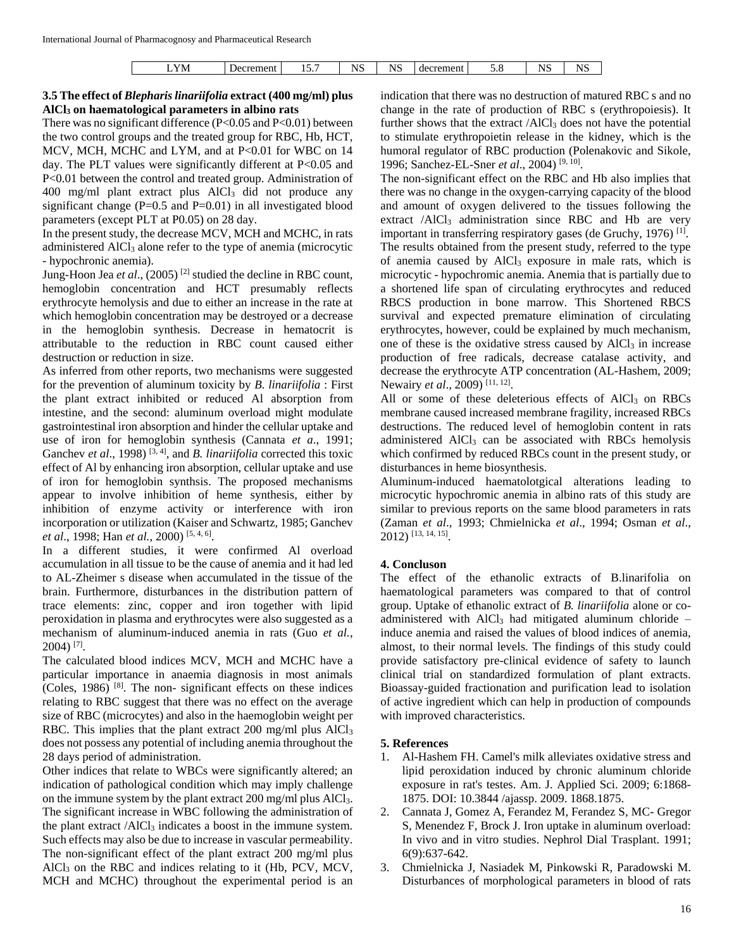### **3.5 The effect of** *Blepharis linariifolia* **extract (400 mg/ml) plus AlCl<sup>3</sup> on haematological parameters in albino rats**

There was no significant difference (P<0.05 and P<0.01) between the two control groups and the treated group for RBC, Hb, HCT, MCV, MCH, MCHC and LYM, and at P<0.01 for WBC on 14 day. The PLT values were significantly different at P<0.05 and P<0.01 between the control and treated group. Administration of 400 mg/ml plant extract plus AlCl<sub>3</sub> did not produce any significant change  $(P=0.5$  and  $P=0.01$ ) in all investigated blood parameters (except PLT at P0.05) on 28 day.

In the present study, the decrease MCV, MCH and MCHC, in rats administered AlCl<sub>3</sub> alone refer to the type of anemia (microcytic - hypochronic anemia).

Jung-Hoon Jea *et al*., (2005) [2] studied the decline in RBC count, hemoglobin concentration and HCT presumably reflects erythrocyte hemolysis and due to either an increase in the rate at which hemoglobin concentration may be destroyed or a decrease in the hemoglobin synthesis. Decrease in hematocrit is attributable to the reduction in RBC count caused either destruction or reduction in size.

As inferred from other reports, two mechanisms were suggested for the prevention of aluminum toxicity by *B. linariifolia* : First the plant extract inhibited or reduced Al absorption from intestine, and the second: aluminum overload might modulate gastrointestinal iron absorption and hinder the cellular uptake and use of iron for hemoglobin synthesis (Cannata *et a*., 1991; Ganchev *et al.*, 1998)<sup>[3, 4]</sup>, and *B. linariifolia* corrected this toxic effect of Al by enhancing iron absorption, cellular uptake and use of iron for hemoglobin synthsis. The proposed mechanisms appear to involve inhibition of heme synthesis, either by inhibition of enzyme activity or interference with iron incorporation or utilization (Kaiser and Schwartz, 1985; Ganchev *et al*., 1998; Han *et al.*, 2000) [5, 4, 6] .

In a different studies, it were confirmed Al overload accumulation in all tissue to be the cause of anemia and it had led to AL-Zheimer s disease when accumulated in the tissue of the brain. Furthermore, disturbances in the distribution pattern of trace elements: zinc, copper and iron together with lipid peroxidation in plasma and erythrocytes were also suggested as a mechanism of aluminum-induced anemia in rats (Guo *et al.*, 2004) [7] .

The calculated blood indices MCV, MCH and MCHC have a particular importance in anaemia diagnosis in most animals (Coles, 1986) [8] . The non- significant effects on these indices relating to RBC suggest that there was no effect on the average size of RBC (microcytes) and also in the haemoglobin weight per RBC. This implies that the plant extract 200 mg/ml plus AlCl<sub>3</sub> does not possess any potential of including anemia throughout the 28 days period of administration.

Other indices that relate to WBCs were significantly altered; an indication of pathological condition which may imply challenge on the immune system by the plant extract 200 mg/ml plus AlCl3. The significant increase in WBC following the administration of the plant extract  $/ALCl<sub>3</sub>$  indicates a boost in the immune system. Such effects may also be due to increase in vascular permeability. The non-significant effect of the plant extract 200 mg/ml plus  $AICl<sub>3</sub>$  on the RBC and indices relating to it (Hb, PCV, MCV, MCH and MCHC) throughout the experimental period is an indication that there was no destruction of matured RBC s and no change in the rate of production of RBC s (erythropoiesis). It further shows that the extract  $/AlCl<sub>3</sub>$  does not have the potential to stimulate erythropoietin release in the kidney, which is the humoral regulator of RBC production (Polenakovic and Sikole, 1996; Sanchez-EL-Sner *et al*., 2004) [9, 10] .

The non-significant effect on the RBC and Hb also implies that there was no change in the oxygen-carrying capacity of the blood and amount of oxygen delivered to the tissues following the extract  $/ALCl<sub>3</sub>$  administration since RBC and Hb are very important in transferring respiratory gases (de Gruchy, 1976)<sup>[1]</sup>. The results obtained from the present study, referred to the type of anemia caused by  $AICI_3$  exposure in male rats, which is microcytic - hypochromic anemia. Anemia that is partially due to a shortened life span of circulating erythrocytes and reduced RBCS production in bone marrow. This Shortened RBCS survival and expected premature elimination of circulating erythrocytes, however, could be explained by much mechanism, one of these is the oxidative stress caused by  $AICI<sub>3</sub>$  in increase production of free radicals, decrease catalase activity, and decrease the erythrocyte ATP concentration (AL-Hashem, 2009; Newairy *et al.*, 2009)<sup>[11, 12]</sup>.

All or some of these deleterious effects of  $AICI<sub>3</sub>$  on RBCs membrane caused increased membrane fragility, increased RBCs destructions. The reduced level of hemoglobin content in rats administered AlCl<sub>3</sub> can be associated with RBCs hemolysis which confirmed by reduced RBCs count in the present study, or disturbances in heme biosynthesis.

Aluminum-induced haematolotgical alterations leading to microcytic hypochromic anemia in albino rats of this study are similar to previous reports on the same blood parameters in rats (Zaman *et al*., 1993; Chmielnicka *et al*., 1994; Osman *et al*., 2012) [13, 14, 15] .

#### **4. Concluson**

The effect of the ethanolic extracts of B.linarifolia on haematological parameters was compared to that of control group. Uptake of ethanolic extract of *B. linariifolia* alone or coadministered with  $AICI_3$  had mitigated aluminum chloride – induce anemia and raised the values of blood indices of anemia, almost, to their normal levels. The findings of this study could provide satisfactory pre-clinical evidence of safety to launch clinical trial on standardized formulation of plant extracts. Bioassay-guided fractionation and purification lead to isolation of active ingredient which can help in production of compounds with improved characteristics.

#### **5. References**

- 1. Al-Hashem FH. Camel's milk alleviates oxidative stress and lipid peroxidation induced by chronic aluminum chloride exposure in rat's testes. Am. J. Applied Sci. 2009; 6:1868- 1875. DOI: 10.3844 /ajassp. 2009. 1868.1875.
- 2. Cannata J, Gomez A, Ferandez M, Ferandez S, MC- Gregor S, Menendez F, Brock J. Iron uptake in aluminum overload: In vivo and in vitro studies. Nephrol Dial Trasplant. 1991; 6(9):637-642.
- 3. Chmielnicka J, Nasiadek M, Pinkowski R, Paradowski M. Disturbances of morphological parameters in blood of rats